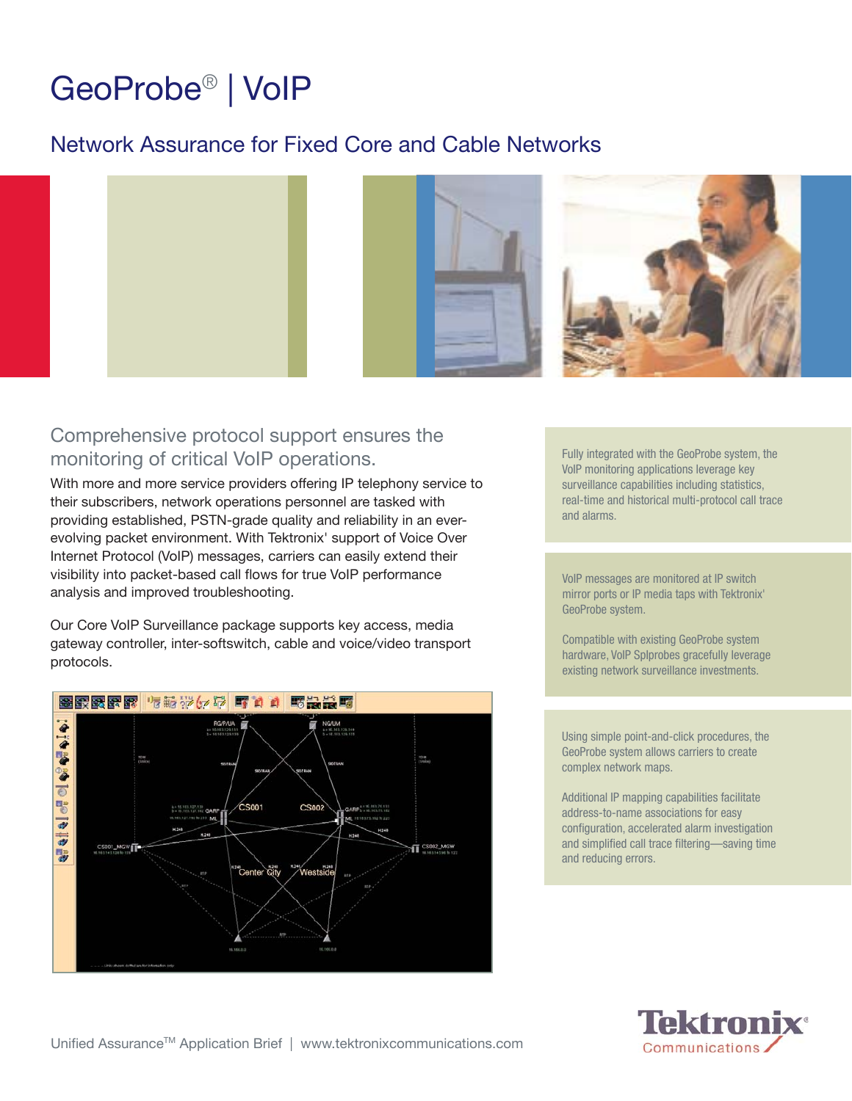# GeoProbe® | VoIP

# Network Assurance for Fixed Core and Cable Networks



# Comprehensive protocol support ensures the monitoring of critical VoIP operations.

With more and more service providers offering IP telephony service to their subscribers, network operations personnel are tasked with providing established, PSTN-grade quality and reliability in an everevolving packet environment. With Tektronix' support of Voice Over Internet Protocol (VoIP) messages, carriers can easily extend their visibility into packet-based call flows for true VoIP performance analysis and improved troubleshooting.

Our Core VoIP Surveillance package supports key access, media gateway controller, inter-softswitch, cable and voice/video transport protocols.



Fully integrated with the GeoProbe system, the VoIP monitoring applications leverage key surveillance capabilities including statistics, real-time and historical multi-protocol call trace and alarms.

VoIP messages are monitored at IP switch mirror ports or IP media taps with Tektronix' GeoProbe system.

Compatible with existing GeoProbe system hardware, VoIP SpIprobes gracefully leverage existing network surveillance investments.

Using simple point-and-click procedures, the GeoProbe system allows carriers to create complex network maps.

Additional IP mapping capabilities facilitate address-to-name associations for easy configuration, accelerated alarm investigation and simplified call trace filtering—saving time and reducing errors.

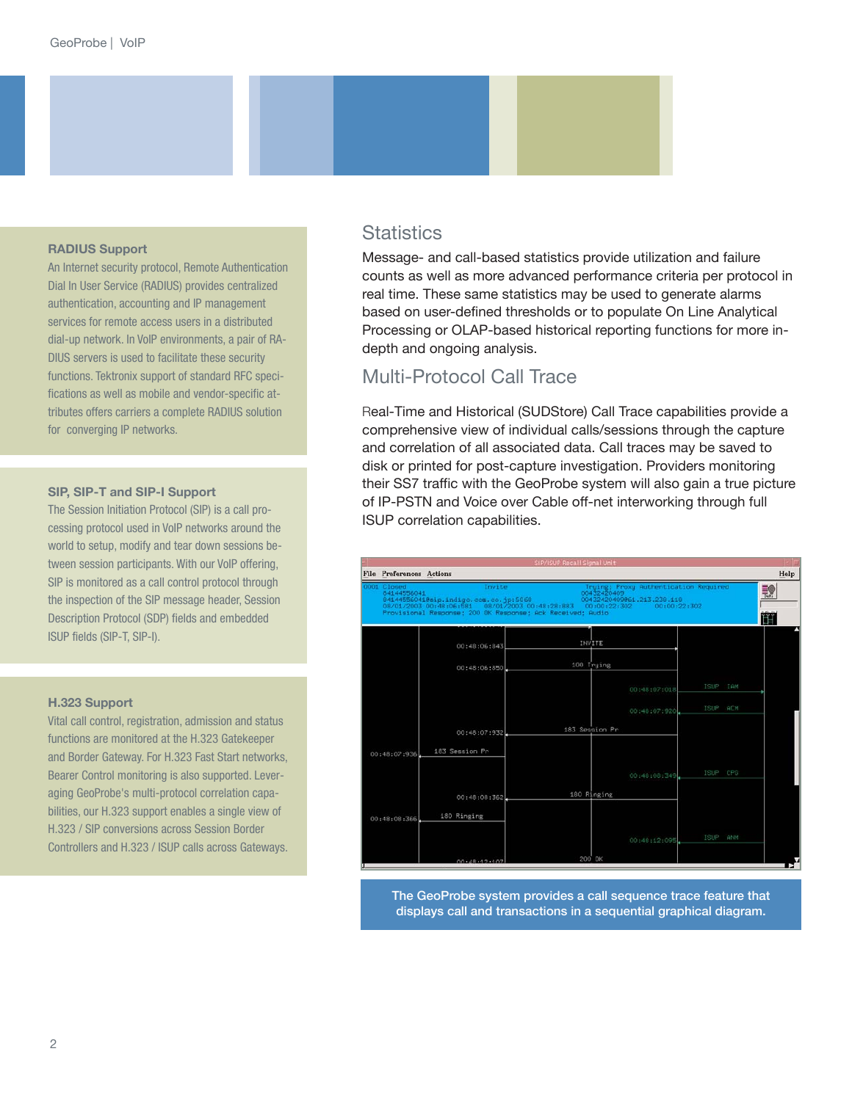#### **RADIUS Support**

An Internet security protocol, Remote Authentication Dial In User Service (RADIUS) provides centralized authentication, accounting and IP management services for remote access users in a distributed dial-up network. In VoIP environments, a pair of RA-DIUS servers is used to facilitate these security functions. Tektronix support of standard RFC specifications as well as mobile and vendor-specific attributes offers carriers a complete RADIUS solution for converging IP networks.

#### **SIP, SIP-T and SIP-I Support**

The Session Initiation Protocol (SIP) is a call processing protocol used in VoIP networks around the world to setup, modify and tear down sessions between session participants. With our VoIP offering, SIP is monitored as a call control protocol through the inspection of the SIP message header, Session Description Protocol (SDP) fields and embedded ISUP fields (SIP-T, SIP-I).

#### **H.323 Support**

Vital call control, registration, admission and status functions are monitored at the H.323 Gatekeeper and Border Gateway. For H.323 Fast Start networks, Bearer Control monitoring is also supported. Leveraging GeoProbe's multi-protocol correlation capabilities, our H.323 support enables a single view of H.323 / SIP conversions across Session Border Controllers and H.323 / ISUP calls across Gateways.

## **Statistics**

Message- and call-based statistics provide utilization and failure counts as well as more advanced performance criteria per protocol in real time. These same statistics may be used to generate alarms based on user-defined thresholds or to populate On Line Analytical Processing or OLAP-based historical reporting functions for more indepth and ongoing analysis.

# Multi-Protocol Call Trace

Real-Time and Historical (SUDStore) Call Trace capabilities provide a comprehensive view of individual calls/sessions through the capture and correlation of all associated data. Call traces may be saved to disk or printed for post-capture investigation. Providers monitoring their SS7 traffic with the GeoProbe system will also gain a true picture of IP-PSTN and Voice over Cable off-net interworking through full ISUP correlation capabilities.



The GeoProbe system provides a call sequence trace feature that displays call and transactions in a sequential graphical diagram.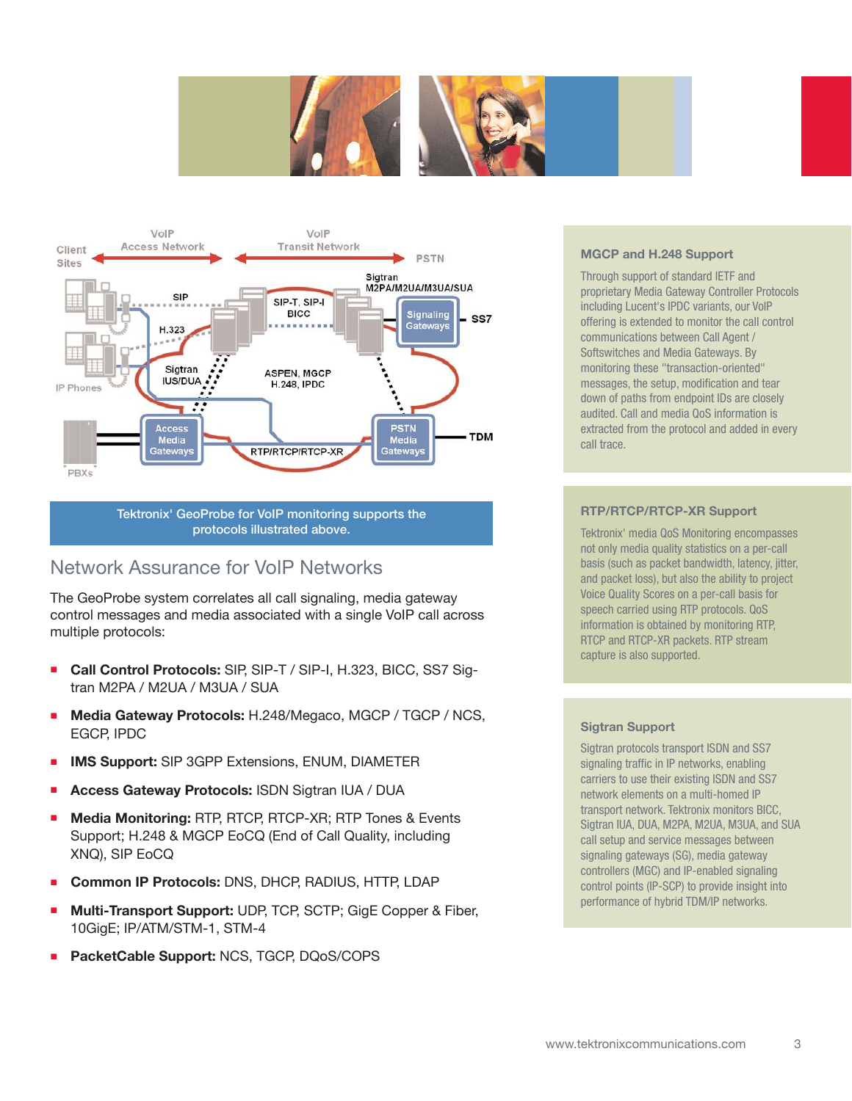





Tektronix' GeoProbe for VoIP monitoring supports the protocols illustrated above.

# Network Assurance for VoIP Networks

The GeoProbe system correlates all call signaling, media gateway control messages and media associated with a single VoIP call across multiple protocols:

- **Call Control Protocols:** SIP, SIP-T / SIP-I, H.323, BICC, SS7 Sigtran M2PA / M2UA / M3UA / SUA
- **Media Gateway Protocols:** H.248/Megaco, MGCP / TGCP / NCS, EGCP, IPDC
- **IMS Support:** SIP 3GPP Extensions, ENUM, DIAMETER
- **Access Gateway Protocols:** ISDN Sigtran IUA / DUA
- **Media Monitoring:** RTP, RTCP, RTCP-XR; RTP Tones & Events Support; H.248 & MGCP EoCQ (End of Call Quality, including XNQ), SIP EoCQ
- **Common IP Protocols:** DNS, DHCP, RADIUS, HTTP, LDAP
- **Multi-Transport Support:** UDP, TCP, SCTP; GigE Copper & Fiber, 10GigE; IP/ATM/STM-1, STM-4
- **PacketCable Support:** NCS, TGCP, DQoS/COPS

#### **MGCP and H.248 Support**

Through support of standard IETF and proprietary Media Gateway Controller Protocols including Lucent's IPDC variants, our VoIP offering is extended to monitor the call control communications between Call Agent / Softswitches and Media Gateways. By monitoring these "transaction-oriented" messages, the setup, modification and tear down of paths from endpoint IDs are closely audited. Call and media QoS information is extracted from the protocol and added in every call trace.

#### **RTP/RTCP/RTCP-XR Support**

Tektronix' media QoS Monitoring encompasses not only media quality statistics on a per-call basis (such as packet bandwidth, latency, jitter, and packet loss), but also the ability to project Voice Quality Scores on a per-call basis for speech carried using RTP protocols. QoS information is obtained by monitoring RTP, RTCP and RTCP-XR packets. RTP stream capture is also supported.

#### **Sigtran Support**

Sigtran protocols transport ISDN and SS7 signaling traffic in IP networks, enabling carriers to use their existing ISDN and SS7 network elements on a multi-homed IP transport network. Tektronix monitors BICC, Sigtran IUA, DUA, M2PA, M2UA, M3UA, and SUA call setup and service messages between signaling gateways (SG), media gateway controllers (MGC) and IP-enabled signaling control points (IP-SCP) to provide insight into performance of hybrid TDM/IP networks.